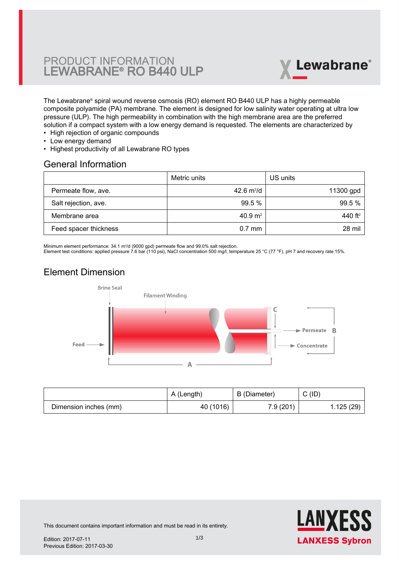# PRODUCT INFORMATION LEWABRANE® RO B440 ULP



The Lewabrane® spiral wound reverse osmosis (RO) element RO B440 ULP has a highly permeable [composite polyamide \(PA\) membrane. The element is designed for low salinity water operating at ultra low](https://www.pureaqua.com/lanxess-lewabrane-b440-ulp-membrane/) pressure (ULP). The high permeability in combination with the high membrane area are the preferred solution if a compact system with a low energy demand is requested. The elements are characterized by

- High rejection of organic compounds
- Low energy demand
- Highest productivity of all Lewabrane RO types

#### General Information

|                       | Metric units       | US units            |
|-----------------------|--------------------|---------------------|
| Permeate flow, ave.   | 42.6 $m^3/d$       | 11300 gpd           |
| Salt rejection, ave.  | 99.5 %             | 99.5%               |
| Membrane area         | $40.9 \text{ m}^2$ | 440 ft <sup>2</sup> |
| Feed spacer thickness | $0.7$ mm           | 28 mil              |

Minimum element performance: 34.1 m<sup>3</sup>/d (9000 gpd) permeate flow and 99.0% salt rejection.

Element test conditions: applied pressure 7.6 bar (110 psi), NaCl concentration 500 mg/l, temperature 25 °C (77 °F), pH 7 and recovery rate 15%.

# Element Dimension



|                       | A (Length) | B (Diameter) | C(ID)     |
|-----------------------|------------|--------------|-----------|
| Dimension inches (mm) | 40 (1016)  | 7.9(201)     | 1.125(29) |



This document contains important information and must be read in its entirety.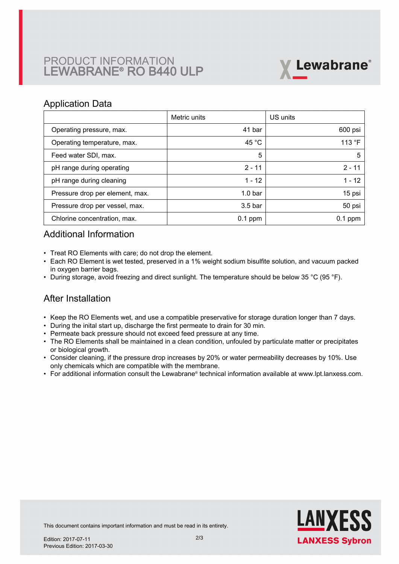# PRODUCT INFORMATION LEWABRANE® RO B440 ULP



### Application Data

|                                 | Metric units       | US units  |
|---------------------------------|--------------------|-----------|
| Operating pressure, max.        | 41 bar             | 600 psi   |
| Operating temperature, max.     | 45 $^{\circ}$ C    | 113 °F    |
| Feed water SDI, max.            | 5                  | 5         |
| pH range during operating       | $2 - 11$           | $2 - 11$  |
| pH range during cleaning        | $1 - 12$           | $1 - 12$  |
| Pressure drop per element, max. | 1.0 <sub>bar</sub> | 15 psi    |
| Pressure drop per vessel, max.  | $3.5b$ ar          | 50 psi    |
| Chlorine concentration, max.    | $0.1$ ppm          | $0.1$ ppm |

## Additional Information

- Treat RO Elements with care; do not drop the element.
- Each RO Element is wet tested, preserved in a 1% weight sodium bisulfite solution, and vacuum packed in oxygen barrier bags.
- During storage, avoid freezing and direct sunlight. The temperature should be below 35 °C (95 °F).

## After Installation

- Keep the RO Elements wet, and use a compatible preservative for storage duration longer than 7 days.
- During the inital start up, discharge the first permeate to drain for 30 min.
- Permeate back pressure should not exceed feed pressure at any time.
- The RO Elements shall be maintained in a clean condition, unfouled by particulate matter or precipitates or biological growth.
- $\bullet~$  Consider cleaning, if the pressure drop increases by 20% or water permeability decreases by 10%. Use only chemicals which are compatible with the membrane.
- For additional information consult the Lewabrane® technical information available at www.lpt.lanxess.com.



This document contains important information and must be read in its entirety.